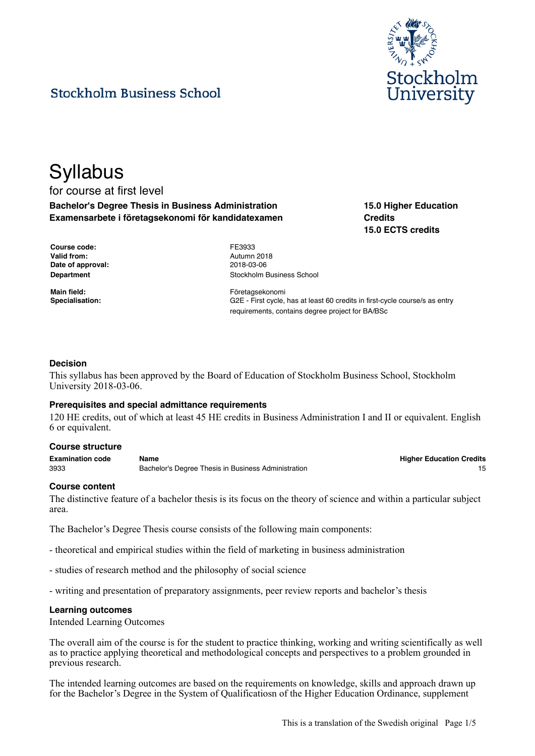

# **Stockholm Business School**

## **Syllabus** for course at first level **Bachelor's Degree Thesis in Business Administration Examensarbete i företagsekonomi för kandidatexamen**

**15.0 Higher Education Credits 15.0 ECTS credits**

| Course code:      |
|-------------------|
| Valid from:       |
| Date of approval: |
| Department        |

**Course code:** FE3933 **Valid from:** Autumn 2018 **Date of approval:** 2018-03-06 **Stockholm Business School** 

**Main field:** Företagsekonomi Specialisation: **Specialisation:** G2E - First cycle, has at least 60 credits in first-cycle course/s as entry requirements, contains degree project for BA/BSc

## **Decision**

This syllabus has been approved by the Board of Education of Stockholm Business School, Stockholm University 2018-03-06.

#### **Prerequisites and special admittance requirements**

120 HE credits, out of which at least 45 HE credits in Business Administration I and II or equivalent. English 6 or equivalent.

#### **Course structure**

**Examination code Name Higher Education Credits** 3933 Bachelor's Degree Thesis in Business Administration 15

#### **Course content**

The distinctive feature of a bachelor thesis is its focus on the theory of science and within a particular subject area.

The Bachelor's Degree Thesis course consists of the following main components:

- theoretical and empirical studies within the field of marketing in business administration

- studies of research method and the philosophy of social science
- writing and presentation of preparatory assignments, peer review reports and bachelor's thesis

#### **Learning outcomes**

Intended Learning Outcomes

The overall aim of the course is for the student to practice thinking, working and writing scientifically as well as to practice applying theoretical and methodological concepts and perspectives to a problem grounded in previous research.

The intended learning outcomes are based on the requirements on knowledge, skills and approach drawn up for the Bachelor's Degree in the System of Qualificatiosn of the Higher Education Ordinance, supplement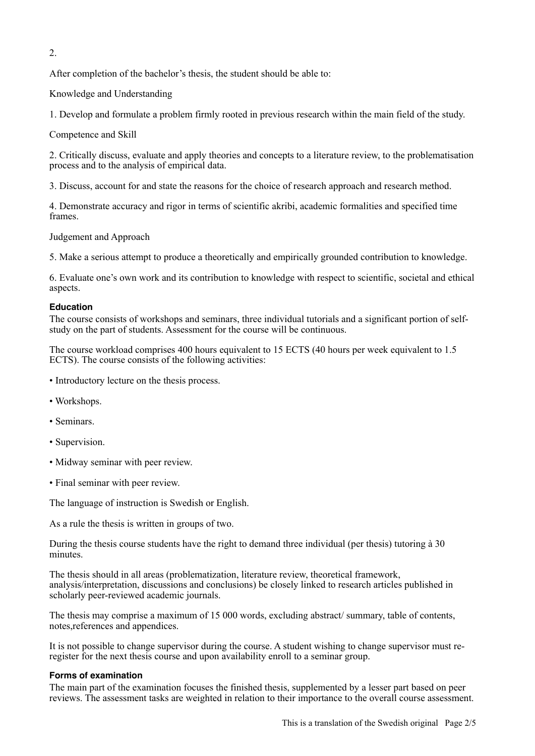2.

After completion of the bachelor's thesis, the student should be able to:

Knowledge and Understanding

1. Develop and formulate a problem firmly rooted in previous research within the main field of the study.

Competence and Skill

2. Critically discuss, evaluate and apply theories and concepts to a literature review, to the problematisation process and to the analysis of empirical data.

3. Discuss, account for and state the reasons for the choice of research approach and research method.

4. Demonstrate accuracy and rigor in terms of scientific akribi, academic formalities and specified time frames.

Judgement and Approach

5. Make a serious attempt to produce a theoretically and empirically grounded contribution to knowledge.

6. Evaluate one's own work and its contribution to knowledge with respect to scientific, societal and ethical aspects.

## **Education**

The course consists of workshops and seminars, three individual tutorials and a significant portion of selfstudy on the part of students. Assessment for the course will be continuous.

The course workload comprises 400 hours equivalent to 15 ECTS (40 hours per week equivalent to 1.5 ECTS). The course consists of the following activities:

- Introductory lecture on the thesis process.
- Workshops.
- Seminars.
- Supervision.
- Midway seminar with peer review.
- Final seminar with peer review.

The language of instruction is Swedish or English.

As a rule the thesis is written in groups of two.

During the thesis course students have the right to demand three individual (per thesis) tutoring à 30 minutes.

The thesis should in all areas (problematization, literature review, theoretical framework, analysis/interpretation, discussions and conclusions) be closely linked to research articles published in scholarly peer-reviewed academic journals.

The thesis may comprise a maximum of 15 000 words, excluding abstract/ summary, table of contents, notes,references and appendices.

It is not possible to change supervisor during the course. A student wishing to change supervisor must reregister for the next thesis course and upon availability enroll to a seminar group.

## **Forms of examination**

The main part of the examination focuses the finished thesis, supplemented by a lesser part based on peer reviews. The assessment tasks are weighted in relation to their importance to the overall course assessment.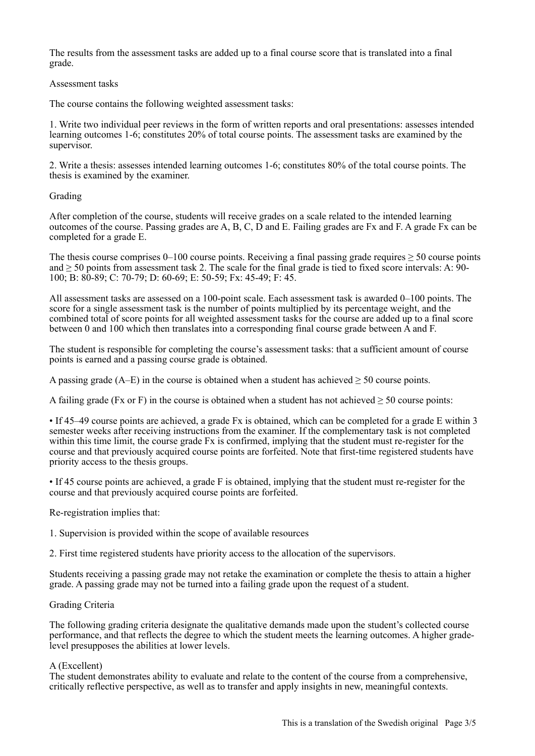The results from the assessment tasks are added up to a final course score that is translated into a final grade.

#### Assessment tasks

The course contains the following weighted assessment tasks:

1. Write two individual peer reviews in the form of written reports and oral presentations: assesses intended learning outcomes 1-6; constitutes 20% of total course points. The assessment tasks are examined by the supervisor.

2. Write a thesis: assesses intended learning outcomes 1-6; constitutes 80% of the total course points. The thesis is examined by the examiner.

## Grading

After completion of the course, students will receive grades on a scale related to the intended learning outcomes of the course. Passing grades are A, B, C, D and E. Failing grades are Fx and F. A grade Fx can be completed for a grade E.

The thesis course comprises 0–100 course points. Receiving a final passing grade requires  $\geq$  50 course points and  $\geq$  50 points from assessment task 2. The scale for the final grade is tied to fixed score intervals: A: 90-100; B: 80-89; C: 70-79; D: 60-69; E: 50-59; Fx: 45-49; F: 45.

All assessment tasks are assessed on a 100-point scale. Each assessment task is awarded 0–100 points. The score for a single assessment task is the number of points multiplied by its percentage weight, and the combined total of score points for all weighted assessment tasks for the course are added up to a final score between 0 and 100 which then translates into a corresponding final course grade between A and F.

The student is responsible for completing the course's assessment tasks: that a sufficient amount of course points is earned and a passing course grade is obtained.

A passing grade (A–E) in the course is obtained when a student has achieved  $\geq$  50 course points.

A failing grade (Fx or F) in the course is obtained when a student has not achieved  $\geq 50$  course points:

• If 45–49 course points are achieved, a grade Fx is obtained, which can be completed for a grade E within 3 semester weeks after receiving instructions from the examiner. If the complementary task is not completed within this time limit, the course grade Fx is confirmed, implying that the student must re-register for the course and that previously acquired course points are forfeited. Note that first-time registered students have priority access to the thesis groups.

• If 45 course points are achieved, a grade F is obtained, implying that the student must re-register for the course and that previously acquired course points are forfeited.

Re-registration implies that:

1. Supervision is provided within the scope of available resources

2. First time registered students have priority access to the allocation of the supervisors.

Students receiving a passing grade may not retake the examination or complete the thesis to attain a higher grade. A passing grade may not be turned into a failing grade upon the request of a student.

## Grading Criteria

The following grading criteria designate the qualitative demands made upon the student's collected course performance, and that reflects the degree to which the student meets the learning outcomes. A higher gradelevel presupposes the abilities at lower levels.

#### A (Excellent)

The student demonstrates ability to evaluate and relate to the content of the course from a comprehensive, critically reflective perspective, as well as to transfer and apply insights in new, meaningful contexts.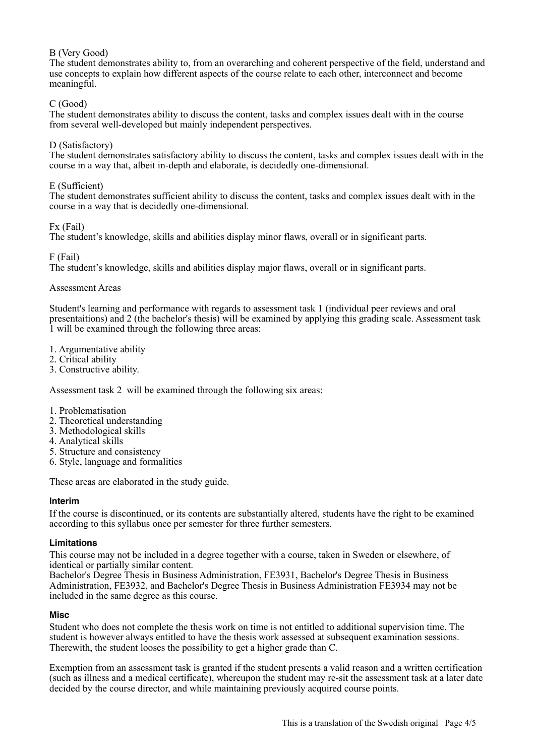## B (Very Good)

The student demonstrates ability to, from an overarching and coherent perspective of the field, understand and use concepts to explain how different aspects of the course relate to each other, interconnect and become meaningful.

## C (Good)

The student demonstrates ability to discuss the content, tasks and complex issues dealt with in the course from several well-developed but mainly independent perspectives.

## D (Satisfactory)

The student demonstrates satisfactory ability to discuss the content, tasks and complex issues dealt with in the course in a way that, albeit in-depth and elaborate, is decidedly one-dimensional.

## E (Sufficient)

The student demonstrates sufficient ability to discuss the content, tasks and complex issues dealt with in the course in a way that is decidedly one-dimensional.

Fx (Fail)

The student's knowledge, skills and abilities display minor flaws, overall or in significant parts.

F (Fail)

The student's knowledge, skills and abilities display major flaws, overall or in significant parts.

### Assessment Areas

Student's learning and performance with regards to assessment task 1 (individual peer reviews and oral presentaitions) and 2 (the bachelor's thesis) will be examined by applying this grading scale. Assessment task 1 will be examined through the following three areas:

- 1. Argumentative ability
- 2. Critical ability
- 3. Constructive ability.

Assessment task 2 will be examined through the following six areas:

- 1. Problematisation
- 2. Theoretical understanding
- 3. Methodological skills
- 4. Analytical skills
- 5. Structure and consistency
- 6. Style, language and formalities

These areas are elaborated in the study guide.

## **Interim**

If the course is discontinued, or its contents are substantially altered, students have the right to be examined according to this syllabus once per semester for three further semesters.

## **Limitations**

This course may not be included in a degree together with a course, taken in Sweden or elsewhere, of identical or partially similar content.

Bachelor's Degree Thesis in Business Administration, FE3931, Bachelor's Degree Thesis in Business Administration, FE3932, and Bachelor's Degree Thesis in Business Administration FE3934 may not be included in the same degree as this course.

## **Misc**

Student who does not complete the thesis work on time is not entitled to additional supervision time. The student is however always entitled to have the thesis work assessed at subsequent examination sessions. Therewith, the student looses the possibility to get a higher grade than C.

Exemption from an assessment task is granted if the student presents a valid reason and a written certification (such as illness and a medical certificate), whereupon the student may re-sit the assessment task at a later date decided by the course director, and while maintaining previously acquired course points.